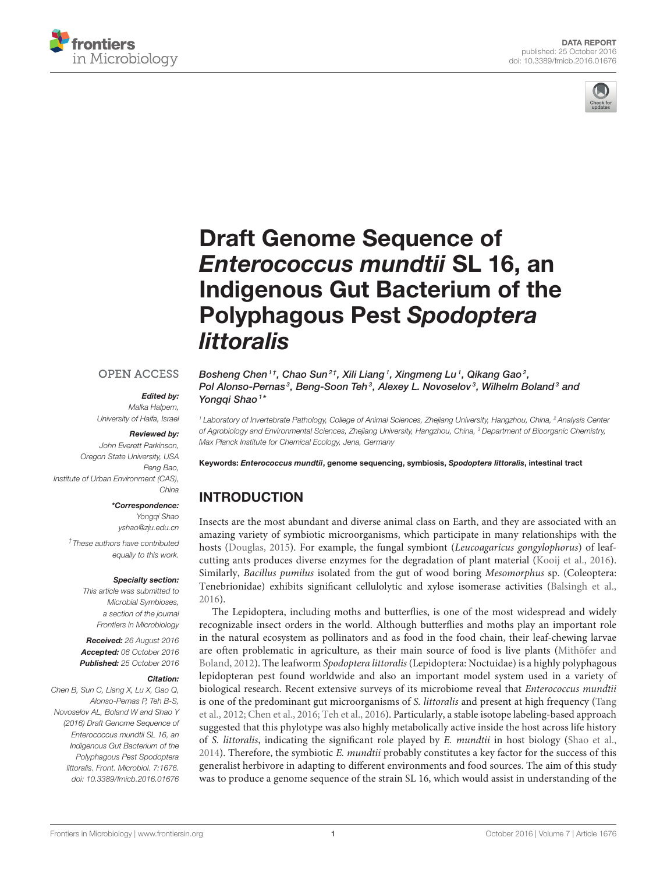



# Draft Genome Sequence of *Enterococcus mundtii* SL 16, an [Indigenous Gut Bacterium of the](http://journal.frontiersin.org/article/10.3389/fmicb.2016.01676/abstract) Polyphagous Pest *Spodoptera littoralis*

#### **OPEN ACCESS**

## *Edited by:*

*Malka Halpern, University of Haifa, Israel*

#### *Reviewed by:*

*John Everett Parkinson, Oregon State University, USA Peng Bao, Institute of Urban Environment (CAS), China*

#### *\*Correspondence:*

*Yongqi Shao [yshao@zju.edu.cn](mailto:yshao@zju.edu.cn)*

*† These authors have contributed equally to this work.*

#### *Specialty section:*

*This article was submitted to Microbial Symbioses, a section of the journal Frontiers in Microbiology*

*Received: 26 August 2016 Accepted: 06 October 2016 Published: 25 October 2016*

#### *Citation:*

*Chen B, Sun C, Liang X, Lu X, Gao Q, Alonso-Pernas P, Teh B-S, Novoselov AL, Boland W and Shao Y (2016) Draft Genome Sequence of Enterococcus mundtii SL 16, an Indigenous Gut Bacterium of the Polyphagous Pest Spodoptera littoralis. Front. Microbiol. 7:1676. doi: [10.3389/fmicb.2016.01676](http://dx.doi.org/10.3389/fmicb.2016.01676)* [Bosheng Chen](http://loop.frontiersin.org/people/381719/overview)<sup>1†</sup>, Chao Sun<sup>2†</sup>, Xili Liang<sup>1</sup>, Xingmeng Lu<sup>1</sup>, Qikang Gao<sup>2</sup>, [Pol Alonso-Pernas](http://loop.frontiersin.org/people/362902/overview)<sup>3</sup>, [Beng-Soon Teh](http://loop.frontiersin.org/people/329840/overview)<sup>3</sup>, [Alexey L. Novoselov](http://loop.frontiersin.org/people/368385/overview)<sup>3</sup>, [Wilhelm Boland](http://loop.frontiersin.org/people/329559/overview)<sup>3</sup> and [Yongqi Shao](http://loop.frontiersin.org/people/353503/overview)<sup>1\*</sup>

*<sup>1</sup> Laboratory of Invertebrate Pathology, College of Animal Sciences, Zhejiang University, Hangzhou, China, <sup>2</sup> Analysis Center of Agrobiology and Environmental Sciences, Zhejiang University, Hangzhou, China, <sup>3</sup> Department of Bioorganic Chemistry, Max Planck Institute for Chemical Ecology, Jena, Germany*

Keywords: *Enterococcus mundtii*, genome sequencing, symbiosis, *Spodoptera littoralis*, intestinal tract

# INTRODUCTION

Insects are the most abundant and diverse animal class on Earth, and they are associated with an amazing variety of symbiotic microorganisms, which participate in many relationships with the hosts [\(Douglas, 2015\)](#page-3-0). For example, the fungal symbiont (Leucoagaricus gongylophorus) of leafcutting ants produces diverse enzymes for the degradation of plant material [\(Kooij et al., 2016\)](#page-3-1). Similarly, Bacillus pumilus isolated from the gut of wood boring Mesomorphus sp. (Coleoptera: Tenebrionidae) exhibits significant cellulolytic and xylose isomerase activities [\(Balsingh et al.,](#page-3-2) [2016\)](#page-3-2).

The Lepidoptera, including moths and butterflies, is one of the most widespread and widely recognizable insect orders in the world. Although butterflies and moths play an important role in the natural ecosystem as pollinators and as food in the food chain, their leaf-chewing larvae are often problematic in agriculture, as their main source of food is live plants (Mithöfer and Boland, [2012\)](#page-3-3). The leafworm Spodoptera littoralis (Lepidoptera: Noctuidae) is a highly polyphagous lepidopteran pest found worldwide and also an important model system used in a variety of biological research. Recent extensive surveys of its microbiome reveal that *Enterococcus mundtii* is one of the predominant gut microorganisms of S. *littoralis* and present at high frequency (Tang et al., [2012;](#page-3-4) [Chen et al., 2016;](#page-3-5) [Teh et al., 2016\)](#page-3-6). Particularly, a stable isotope labeling-based approach suggested that this phylotype was also highly metabolically active inside the host across life history of S. littoralis, indicating the significant role played by E. mundtii in host biology [\(Shao et al.,](#page-3-7) [2014\)](#page-3-7). Therefore, the symbiotic E. mundtii probably constitutes a key factor for the success of this generalist herbivore in adapting to different environments and food sources. The aim of this study was to produce a genome sequence of the strain SL 16, which would assist in understanding of the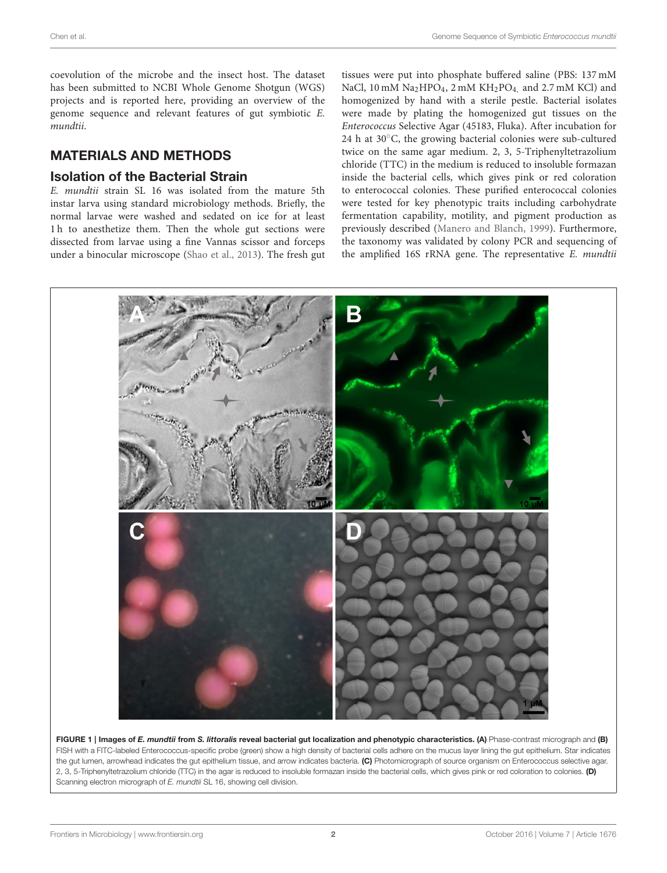coevolution of the microbe and the insect host. The dataset has been submitted to NCBI Whole Genome Shotgun (WGS) projects and is reported here, providing an overview of the genome sequence and relevant features of gut symbiotic E. mundtii.

# MATERIALS AND METHODS

## Isolation of the Bacterial Strain

E. mundtii strain SL 16 was isolated from the mature 5th instar larva using standard microbiology methods. Briefly, the normal larvae were washed and sedated on ice for at least 1 h to anesthetize them. Then the whole gut sections were dissected from larvae using a fine Vannas scissor and forceps under a binocular microscope [\(Shao et al., 2013\)](#page-3-8). The fresh gut tissues were put into phosphate buffered saline (PBS: 137 mM NaCl, 10 mM Na<sub>2</sub>HPO<sub>4</sub>, 2 mM KH<sub>2</sub>PO<sub>4</sub>, and 2.7 mM KCl) and homogenized by hand with a sterile pestle. Bacterial isolates were made by plating the homogenized gut tissues on the Enterococcus Selective Agar (45183, Fluka). After incubation for 24 h at 30◦C, the growing bacterial colonies were sub-cultured twice on the same agar medium. 2, 3, 5-Triphenyltetrazolium chloride (TTC) in the medium is reduced to insoluble formazan inside the bacterial cells, which gives pink or red coloration to enterococcal colonies. These purified enterococcal colonies were tested for key phenotypic traits including carbohydrate fermentation capability, motility, and pigment production as previously described [\(Manero and Blanch, 1999\)](#page-3-9). Furthermore, the taxonomy was validated by colony PCR and sequencing of the amplified 16S rRNA gene. The representative E. mundtii



<span id="page-1-0"></span>FIGURE 1 | Images of *E. mundtii from S. littoralis reveal bacterial gut localization and phenotypic characteristics. (A) Phase-contrast micrograph and (B)* FISH with a FITC-labeled Enterococcus-specific probe (green) show a high density of bacterial cells adhere on the mucus layer lining the gut epithelium. Star indicates the gut lumen, arrowhead indicates the gut epithelium tissue, and arrow indicates bacteria. (C) Photomicrograph of source organism on Enterococcus selective agar. 2, 3, 5-Triphenyltetrazolium chloride (TTC) in the agar is reduced to insoluble formazan inside the bacterial cells, which gives pink or red coloration to colonies. (D) Scanning electron micrograph of *E. mundtii* SL 16, showing cell division.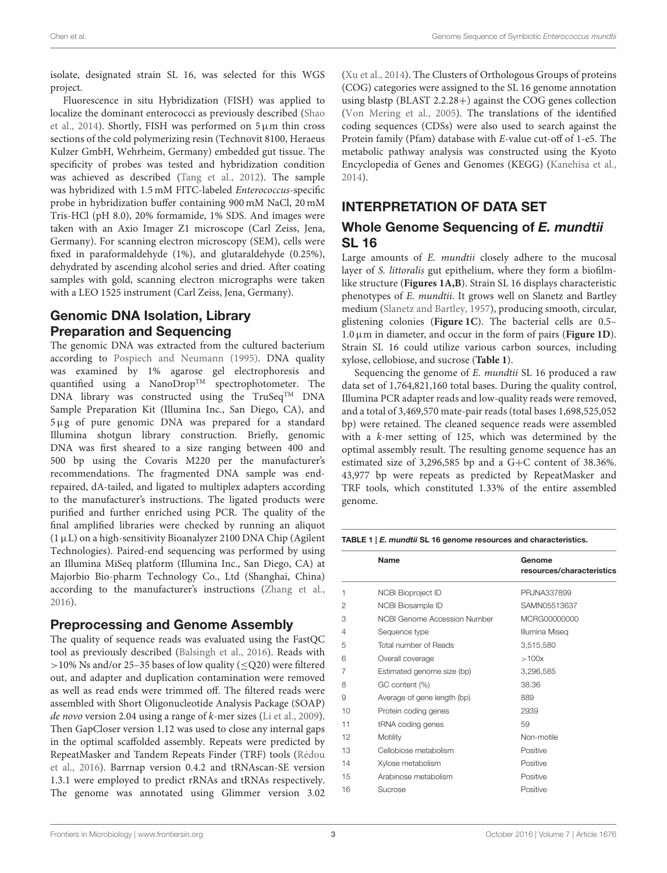isolate, designated strain SL 16, was selected for this WGS project.

Fluorescence in situ Hybridization (FISH) was applied to localize the dominant enterococci as previously described (Shao et al., [2014\)](#page-3-7). Shortly, FISH was performed on  $5 \mu m$  thin cross sections of the cold polymerizing resin (Technovit 8100, Heraeus Kulzer GmbH, Wehrheim, Germany) embedded gut tissue. The specificity of probes was tested and hybridization condition was achieved as described [\(Tang et al., 2012\)](#page-3-4). The sample was hybridized with 1.5 mM FITC-labeled Enterococcus-specific probe in hybridization buffer containing 900 mM NaCl, 20 mM Tris-HCl (pH 8.0), 20% formamide, 1% SDS. And images were taken with an Axio Imager Z1 microscope (Carl Zeiss, Jena, Germany). For scanning electron microscopy (SEM), cells were fixed in paraformaldehyde (1%), and glutaraldehyde (0.25%), dehydrated by ascending alcohol series and dried. After coating samples with gold, scanning electron micrographs were taken with a LEO 1525 instrument (Carl Zeiss, Jena, Germany).

# Genomic DNA Isolation, Library Preparation and Sequencing

The genomic DNA was extracted from the cultured bacterium according to [Pospiech and Neumann \(1995\)](#page-3-10). DNA quality was examined by 1% agarose gel electrophoresis and quantified using a NanoDrop<sup>TM</sup> spectrophotometer. The DNA library was constructed using the  $TruSeq^{TM}$  DNA Sample Preparation Kit (Illumina Inc., San Diego, CA), and 5µg of pure genomic DNA was prepared for a standard Illumina shotgun library construction. Briefly, genomic DNA was first sheared to a size ranging between 400 and 500 bp using the Covaris M220 per the manufacturer's recommendations. The fragmented DNA sample was endrepaired, dA-tailed, and ligated to multiplex adapters according to the manufacturer's instructions. The ligated products were purified and further enriched using PCR. The quality of the final amplified libraries were checked by running an aliquot  $(1 \mu L)$  on a high-sensitivity Bioanalyzer 2100 DNA Chip (Agilent Technologies). Paired-end sequencing was performed by using an Illumina MiSeq platform (Illumina Inc., San Diego, CA) at Majorbio Bio-pharm Technology Co., Ltd (Shanghai, China) according to the manufacturer's instructions [\(Zhang et al.,](#page-4-0) [2016\)](#page-4-0).

## Preprocessing and Genome Assembly

The quality of sequence reads was evaluated using the FastQC tool as previously described [\(Balsingh et al., 2016\)](#page-3-2). Reads with >10% Ns and/or 25-35 bases of low quality ( $\leq$ Q20) were filtered out, and adapter and duplication contamination were removed as well as read ends were trimmed off. The filtered reads were assembled with Short Oligonucleotide Analysis Package (SOAP) de novo version 2.04 using a range of k-mer sizes [\(Li et al., 2009\)](#page-3-11). Then GapCloser version 1.12 was used to close any internal gaps in the optimal scaffolded assembly. Repeats were predicted by RepeatMasker and Tandem Repeats Finder (TRF) tools (Rédou et al., [2016\)](#page-3-12). Barrnap version 0.4.2 and tRNAscan-SE version 1.3.1 were employed to predict rRNAs and tRNAs respectively. The genome was annotated using Glimmer version 3.02 [\(Xu et al., 2014\)](#page-4-1). The Clusters of Orthologous Groups of proteins (COG) categories were assigned to the SL 16 genome annotation using blastp (BLAST 2.2.28+) against the COG genes collection [\(Von Mering et al., 2005\)](#page-4-2). The translations of the identified coding sequences (CDSs) were also used to search against the Protein family (Pfam) database with E-value cut-off of 1-e5. The metabolic pathway analysis was constructed using the Kyoto Encyclopedia of Genes and Genomes (KEGG) [\(Kanehisa et al.,](#page-3-13) [2014\)](#page-3-13).

# INTERPRETATION OF DATA SET

# Whole Genome Sequencing of *E. mundtii* SL 16

Large amounts of E. mundtii closely adhere to the mucosal layer of S. littoralis gut epithelium, where they form a biofilmlike structure (**[Figures 1A,B](#page-1-0)**). Strain SL 16 displays characteristic phenotypes of E. mundtii. It grows well on Slanetz and Bartley medium [\(Slanetz and Bartley, 1957\)](#page-3-14), producing smooth, circular, glistening colonies (**[Figure 1C](#page-1-0)**). The bacterial cells are 0.5– 1.0µm in diameter, and occur in the form of pairs (**[Figure 1D](#page-1-0)**). Strain SL 16 could utilize various carbon sources, including xylose, cellobiose, and sucrose (**[Table 1](#page-2-0)**).

Sequencing the genome of E. mundtii SL 16 produced a raw data set of 1,764,821,160 total bases. During the quality control, Illumina PCR adapter reads and low-quality reads were removed, and a total of 3,469,570 mate-pair reads (total bases 1,698,525,052 bp) were retained. The cleaned sequence reads were assembled with a k-mer setting of 125, which was determined by the optimal assembly result. The resulting genome sequence has an estimated size of 3,296,585 bp and a G+C content of 38.36%. 43,977 bp were repeats as predicted by RepeatMasker and TRF tools, which constituted 1.33% of the entire assembled genome.

<span id="page-2-0"></span>TABLE 1 | *E. mundtii* SL 16 genome resources and characteristics.

|    | Name                         | Genome<br>resources/characteristics |
|----|------------------------------|-------------------------------------|
| 1  | NCBI Bioproject ID           | PRJNA337899                         |
| 2  | NCBI Biosample ID            | SAMN05513637                        |
| 3  | NCBI Genome Accession Number | MCRG00000000                        |
| 4  | Sequence type                | Illumina Miseg                      |
| 5  | Total number of Reads        | 3,515,580                           |
| 6  | Overall coverage             | >100x                               |
| 7  | Estimated genome size (bp)   | 3,296,585                           |
| 8  | GC content (%)               | 38.36                               |
| 9  | Average of gene length (bp)  | 889                                 |
| 10 | Protein coding genes         | 2939                                |
| 11 | tRNA coding genes            | 59                                  |
| 12 | Motility                     | Non-motile                          |
| 13 | Cellobiose metabolism        | Positive                            |
| 14 | Xylose metabolism            | Positive                            |
| 15 | Arabinose metabolism         | Positive                            |
| 16 | Sucrose                      | Positive                            |
|    |                              |                                     |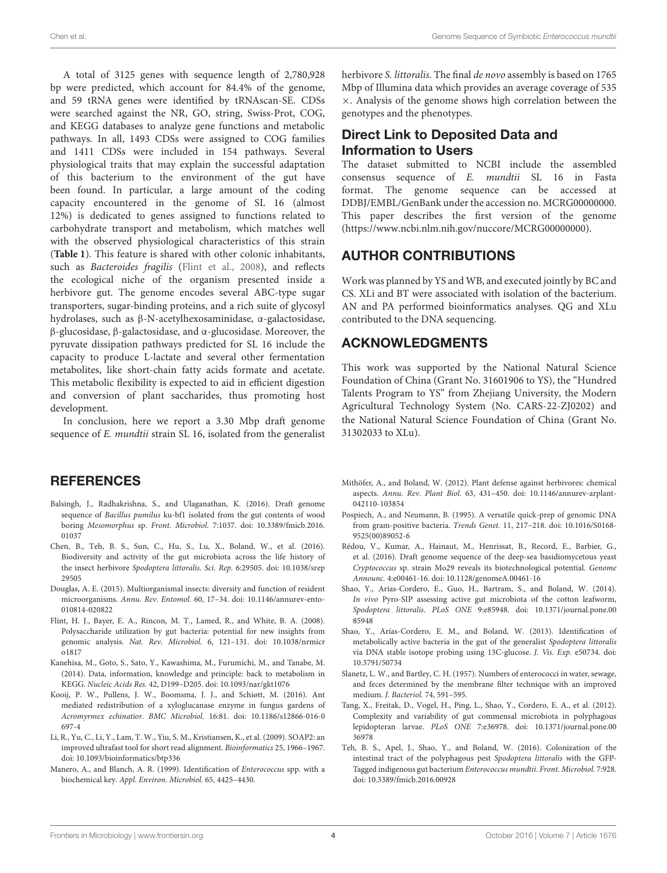A total of 3125 genes with sequence length of 2,780,928 bp were predicted, which account for 84.4% of the genome, and 59 tRNA genes were identified by tRNAscan-SE. CDSs were searched against the NR, GO, string, Swiss-Prot, COG, and KEGG databases to analyze gene functions and metabolic pathways. In all, 1493 CDSs were assigned to COG families and 1411 CDSs were included in 154 pathways. Several physiological traits that may explain the successful adaptation of this bacterium to the environment of the gut have been found. In particular, a large amount of the coding capacity encountered in the genome of SL 16 (almost 12%) is dedicated to genes assigned to functions related to carbohydrate transport and metabolism, which matches well with the observed physiological characteristics of this strain (**[Table 1](#page-2-0)**). This feature is shared with other colonic inhabitants, such as Bacteroides fragilis [\(Flint et al., 2008\)](#page-3-15), and reflects the ecological niche of the organism presented inside a herbivore gut. The genome encodes several ABC-type sugar transporters, sugar-binding proteins, and a rich suite of glycosyl hydrolases, such as β-N-acetylhexosaminidase, α-galactosidase, β-glucosidase, β-galactosidase, and α-glucosidase. Moreover, the pyruvate dissipation pathways predicted for SL 16 include the capacity to produce L-lactate and several other fermentation metabolites, like short-chain fatty acids formate and acetate. This metabolic flexibility is expected to aid in efficient digestion and conversion of plant saccharides, thus promoting host development.

In conclusion, here we report a 3.30 Mbp draft genome sequence of *E. mundtii* strain SL 16, isolated from the generalist

### REFERENCES

- <span id="page-3-2"></span>Balsingh, J., Radhakrishna, S., and Ulaganathan, K. (2016). Draft genome sequence of Bacillus pumilus ku-bf1 isolated from the gut contents of wood boring Mesomorphus sp. Front. Microbiol. 7:1037. doi: 10.3389/fmicb.2016. 01037
- <span id="page-3-5"></span>Chen, B., Teh, B. S., Sun, C., Hu, S., Lu, X., Boland, W., et al. (2016). Biodiversity and activity of the gut microbiota across the life history of the insect herbivore Spodoptera littoralis. Sci. Rep. 6:29505. doi: 10.1038/srep 29505
- <span id="page-3-0"></span>Douglas, A. E. (2015). Multiorganismal insects: diversity and function of resident microorganisms. Annu. Rev. Entomol. 60, 17–34. doi: 10.1146/annurev-ento-010814-020822
- <span id="page-3-15"></span>Flint, H. J., Bayer, E. A., Rincon, M. T., Lamed, R., and White, B. A. (2008). Polysaccharide utilization by gut bacteria: potential for new insights from genomic analysis. Nat. Rev. Microbiol. 6, 121–131. doi: 10.1038/nrmicr o1817
- <span id="page-3-13"></span>Kanehisa, M., Goto, S., Sato, Y., Kawashima, M., Furumichi, M., and Tanabe, M. (2014). Data, information, knowledge and principle: back to metabolism in KEGG. Nucleic Acids Res. 42, D199–D205. doi: 10.1093/nar/gkt1076
- <span id="page-3-1"></span>Kooij, P. W., Pullens, J. W., Boomsma, J. J., and Schiøtt, M. (2016). Ant mediated redistribution of a xyloglucanase enzyme in fungus gardens of Acromyrmex echinatior. BMC Microbiol. 16:81. doi: 10.1186/s12866-016-0 697-4
- <span id="page-3-11"></span>Li, R., Yu, C., Li, Y., Lam, T. W., Yiu, S. M., Kristiansen, K., et al. (2009). SOAP2: an improved ultrafast tool for short read alignment. Bioinformatics 25, 1966–1967. doi: 10.1093/bioinformatics/btp336
- <span id="page-3-9"></span>Manero, A., and Blanch, A. R. (1999). Identification of Enterococcus spp. with a biochemical key. Appl. Environ. Microbiol. 65, 4425–4430.

herbivore S. littoralis. The final de novo assembly is based on 1765 Mbp of Illumina data which provides an average coverage of 535 ×. Analysis of the genome shows high correlation between the genotypes and the phenotypes.

# Direct Link to Deposited Data and Information to Users

The dataset submitted to NCBI include the assembled consensus sequence of E. mundtii SL 16 in Fasta format. The genome sequence can be accessed at DDBJ/EMBL/GenBank under the accession no. MCRG00000000. This paper describes the first version of the genome [\(https://www.ncbi.nlm.nih.gov/nuccore/MCRG00000000\)](https://www.ncbi.nlm.nih.gov/nuccore/MCRG00000000).

## AUTHOR CONTRIBUTIONS

Work was planned by YS and WB, and executed jointly by BC and CS. XLi and BT were associated with isolation of the bacterium. AN and PA performed bioinformatics analyses. QG and XLu contributed to the DNA sequencing.

# ACKNOWLEDGMENTS

This work was supported by the National Natural Science Foundation of China (Grant No. 31601906 to YS), the "Hundred Talents Program to YS" from Zhejiang University, the Modern Agricultural Technology System (No. CARS-22-ZJ0202) and the National Natural Science Foundation of China (Grant No. 31302033 to XLu).

- <span id="page-3-3"></span>Mithöfer, A., and Boland, W. (2012). Plant defense against herbivores: chemical aspects. Annu. Rev. Plant Biol. 63, 431–450. doi: 10.1146/annurev-arplant-042110-103854
- <span id="page-3-10"></span>Pospiech, A., and Neumann, B. (1995). A versatile quick-prep of genomic DNA from gram-positive bacteria. Trends Genet. 11, 217–218. doi: 10.1016/S0168- 9525(00)89052-6
- <span id="page-3-12"></span>Rédou, V., Kumar, A., Hainaut, M., Henrissat, B., Record, E., Barbier, G., et al. (2016). Draft genome sequence of the deep-sea basidiomycetous yeast Cryptococcus sp. strain Mo29 reveals its biotechnological potential. Genome Announc. 4:e00461-16. doi: 10.1128/genomeA.00461-16
- <span id="page-3-7"></span>Shao, Y., Arias-Cordero, E., Guo, H., Bartram, S., and Boland, W. (2014). In vivo Pyro-SIP assessing active gut microbiota of the cotton leafworm, Spodoptera littoralis. PLoS ONE 9:e85948. doi: 10.1371/journal.pone.00 85948
- <span id="page-3-8"></span>Shao, Y., Arias-Cordero, E. M., and Boland, W. (2013). Identification of metabolically active bacteria in the gut of the generalist Spodoptera littoralis via DNA stable isotope probing using 13C-glucose. J. Vis. Exp. e50734. doi: 10.3791/50734
- <span id="page-3-14"></span>Slanetz, L. W., and Bartley, C. H. (1957). Numbers of enterococci in water, sewage, and feces determined by the membrane filter technique with an improved medium. J. Bacteriol. 74, 591–595.
- <span id="page-3-4"></span>Tang, X., Freitak, D., Vogel, H., Ping, L., Shao, Y., Cordero, E. A., et al. (2012). Complexity and variability of gut commensal microbiota in polyphagous lepidopteran larvae. PLoS ONE 7:e36978. doi: 10.1371/journal.pone.00 36978
- <span id="page-3-6"></span>Teh, B. S., Apel, J., Shao, Y., and Boland, W. (2016). Colonization of the intestinal tract of the polyphagous pest Spodoptera littoralis with the GFP-Tagged indigenous gut bacterium Enterococcus mundtii. Front. Microbiol. 7:928. doi: 10.3389/fmicb.2016.00928